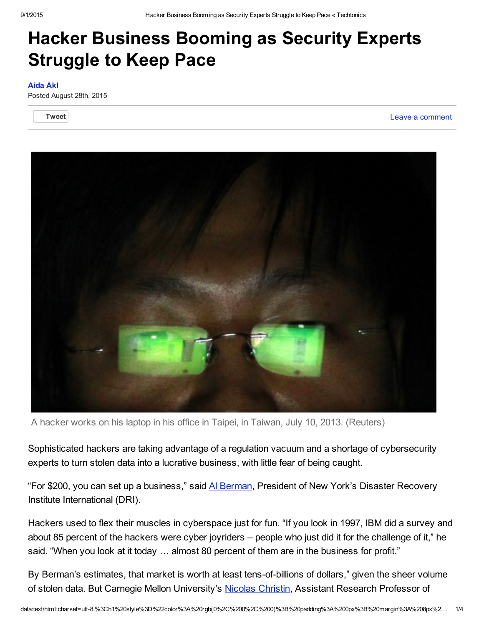## Hacker Business Booming as Security Experts Struggle to Keep Pace

## [Aida](http://blogs.voanews.com/techtonics/author/aakl/) Akl

Posted August 28th, 2015

**[Tweet](https://twitter.com/share)** Leave a [comment](http://blogs.voanews.com/techtonics/2015/08/28/hacker-business-booming-as-security-experts-struggle-to-keep-pace/#respond) of the control of the control of the control of the control of the control of the control of the control of the control of the control of the control of the control of the control of the control of



A hacker works on his laptop in his office in Taipei, in Taiwan, July 10, 2013. (Reuters)

Sophisticated hackers are taking advantage of a regulation vacuum and a shortage of cybersecurity experts to turn stolen data into a lucrative business, with little fear of being caught.

"For \$200, you can set up a business," said Al [Berman,](https://www.drii.org/boardcommission.php) President of New York's Disaster Recovery Institute International (DRI).

Hackers used to flex their muscles in cyberspace just for fun. "If you look in 1997, IBM did a survey and about 85 percent of the hackers were cyber joyriders – people who just did it for the challenge of it," he said. "When you look at it today ... almost 80 percent of them are in the business for profit."

By Berman's estimates, that market is worth at least tens-of-billions of dollars," given the sheer volume of stolen data. But Carnegie Mellon University's Nicolas [Christin,](http://www.andrew.cmu.edu/user/nicolasc/) Assistant Research Professor of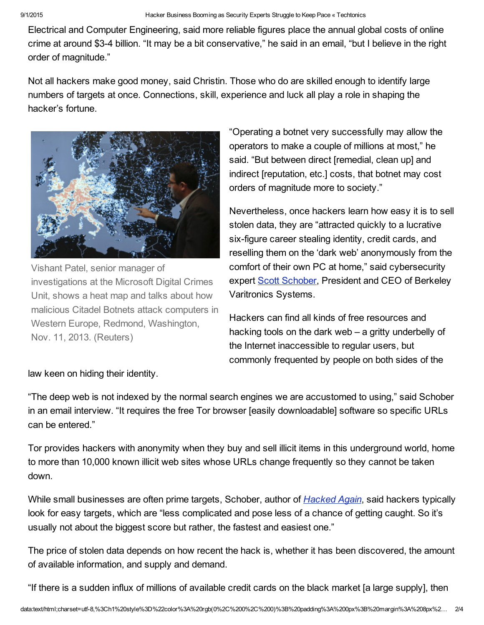Electrical and Computer Engineering, said more reliable figures place the annual global costs of online crime at around \$34 billion. "It may be a bit conservative," he said in an email, "but I believe in the right order of magnitude."

Not all hackers make good money, said Christin. Those who do are skilled enough to identify large numbers of targets at once. Connections, skill, experience and luck all play a role in shaping the hacker's fortune.



Vishant Patel, senior manager of investigations at the Microsoft Digital Crimes Unit, shows a heat map and talks about how malicious Citadel Botnets attack computers in Western Europe, Redmond, Washington, Nov. 11, 2013. (Reuters)

"Operating a botnet very successfully may allow the operators to make a couple of millions at most," he said. "But between direct [remedial, clean up] and indirect [reputation, etc.] costs, that botnet may cost orders of magnitude more to society."

Nevertheless, once hackers learn how easy it is to sell stolen data, they are "attracted quickly to a lucrative six-figure career stealing identity, credit cards, and reselling them on the 'dark web' anonymously from the comfort of their own PC at home," said cybersecurity expert Scott [Schober,](http://www.bvsystems.com/Media/media.htm) President and CEO of Berkeley Varitronics Systems.

Hackers can find all kinds of free resources and hacking tools on the dark web – a gritty underbelly of the Internet inaccessible to regular users, but commonly frequented by people on both sides of the

law keen on hiding their identity.

"The deep web is not indexed by the normal search engines we are accustomed to using," said Schober in an email interview. "It requires the free Tor browser [easily downloadable] software so specific URLs can be entered."

Tor provides hackers with anonymity when they buy and sell illicit items in this underground world, home to more than 10,000 known illicit web sites whose URLs change frequently so they cannot be taken down.

While small businesses are often prime targets, Schober, author of *[Hacked](http://www.hackedagain.com/) Again*, said hackers typically look for easy targets, which are "less complicated and pose less of a chance of getting caught. So it's usually not about the biggest score but rather, the fastest and easiest one."

The price of stolen data depends on how recent the hack is, whether it has been discovered, the amount of available information, and supply and demand.

"If there is a sudden influx of millions of available credit cards on the black market [a large supply], then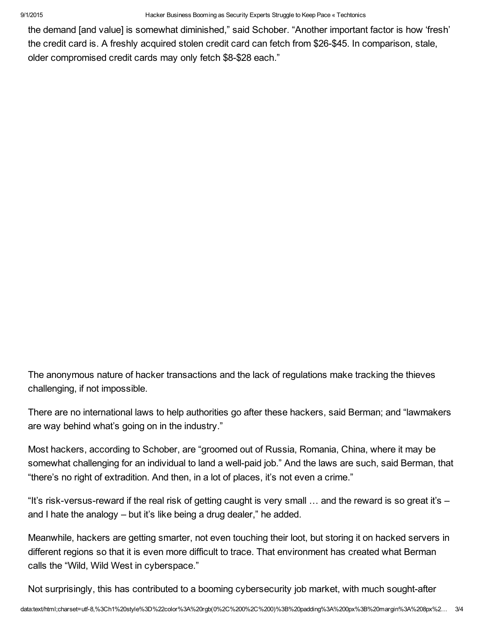9/1/2015 Hacker Business Booming as Security Experts Struggle to Keep Pace « Techtonics

the demand [and value] is somewhat diminished," said Schober. "Another important factor is how 'fresh' the credit card is. A freshly acquired stolen credit card can fetch from \$26-\$45. In comparison, stale, older compromised credit cards may only fetch \$8-\$28 each."

The anonymous nature of hacker transactions and the lack of regulations make tracking the thieves challenging, if not impossible.

There are no international laws to help authorities go after these hackers, said Berman; and "lawmakers are way behind what's going on in the industry."

Most hackers, according to Schober, are "groomed out of Russia, Romania, China, where it may be somewhat challenging for an individual to land a well-paid job." And the laws are such, said Berman, that "there's no right of extradition. And then, in a lot of places, it's not even a crime."

"It's risk-versus-reward if the real risk of getting caught is very small  $\ldots$  and the reward is so great it's – and I hate the analogy – but it's like being a drug dealer," he added.

Meanwhile, hackers are getting smarter, not even touching their loot, but storing it on hacked servers in different regions so that it is even more difficult to trace. That environment has created what Berman calls the "Wild, Wild West in cyberspace."

Not surprisingly, this has contributed to a booming cybersecurity job market, with much sought-after